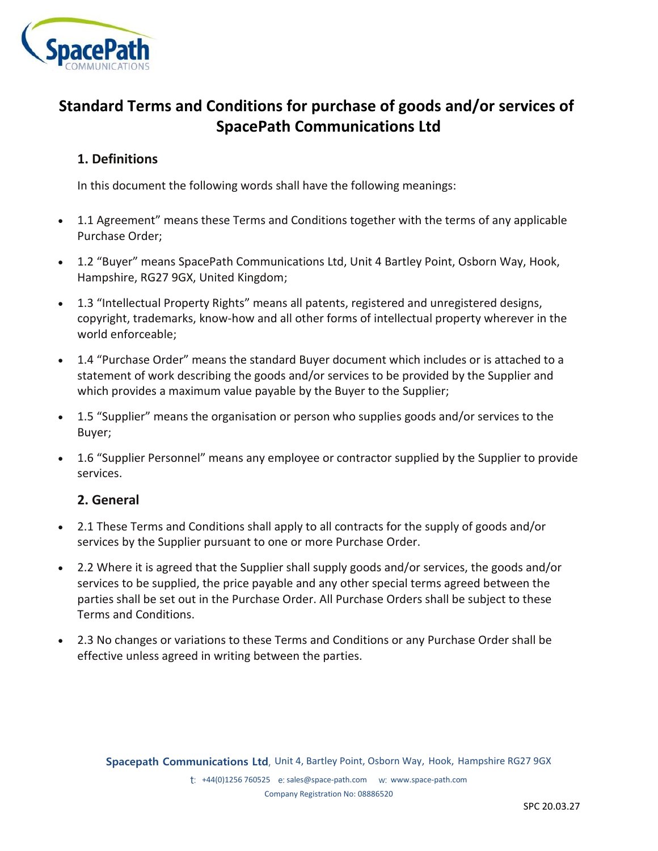

# **Standard Terms and Conditions for purchase of goods and/or services of SpacePath Communications Ltd**

## **1. Definitions**

In this document the following words shall have the following meanings:

- 1.1 Agreement" means these Terms and Conditions together with the terms of any applicable Purchase Order;
- 1.2 "Buyer" means SpacePath Communications Ltd, Unit 4 Bartley Point, Osborn Way, Hook, Hampshire, RG27 9GX, United Kingdom;
- 1.3 "Intellectual Property Rights" means all patents, registered and unregistered designs, copyright, trademarks, know-how and all other forms of intellectual property wherever in the world enforceable;
- 1.4 "Purchase Order" means the standard Buyer document which includes or is attached to a statement of work describing the goods and/or services to be provided by the Supplier and which provides a maximum value payable by the Buyer to the Supplier;
- 1.5 "Supplier" means the organisation or person who supplies goods and/or services to the Buyer;
- 1.6 "Supplier Personnel" means any employee or contractor supplied by the Supplier to provide services.

## **2. General**

- 2.1 These Terms and Conditions shall apply to all contracts for the supply of goods and/or services by the Supplier pursuant to one or more Purchase Order.
- 2.2 Where it is agreed that the Supplier shall supply goods and/or services, the goods and/or services to be supplied, the price payable and any other special terms agreed between the parties shall be set out in the Purchase Order. All Purchase Orders shall be subject to these Terms and Conditions.
- 2.3 No changes or variations to these Terms and Conditions or any Purchase Order shall be effective unless agreed in writing between the parties.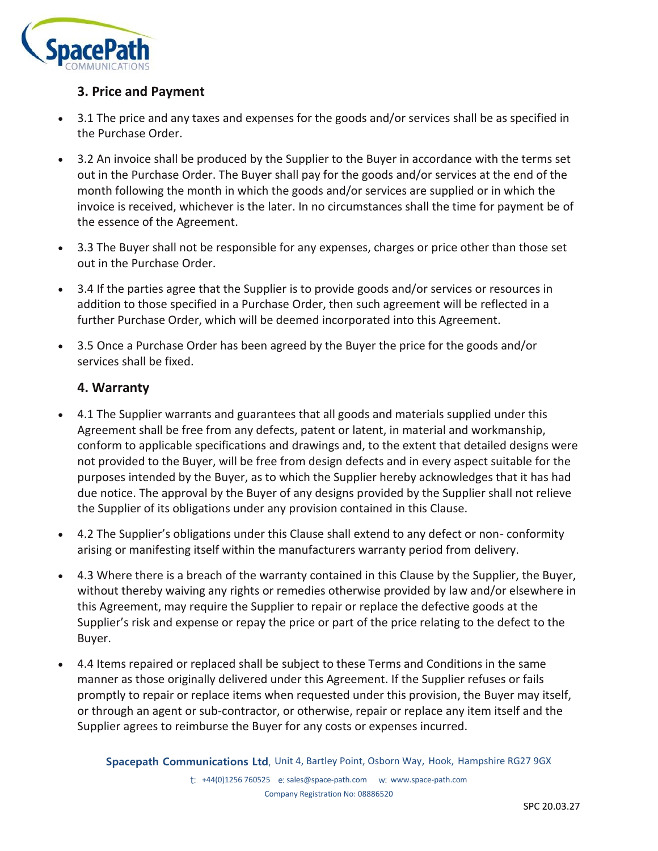

## **3. Price and Payment**

- 3.1 The price and any taxes and expenses for the goods and/or services shall be as specified in the Purchase Order.
- 3.2 An invoice shall be produced by the Supplier to the Buyer in accordance with the terms set out in the Purchase Order. The Buyer shall pay for the goods and/or services at the end of the month following the month in which the goods and/or services are supplied or in which the invoice is received, whichever is the later. In no circumstances shall the time for payment be of the essence of the Agreement.
- 3.3 The Buyer shall not be responsible for any expenses, charges or price other than those set out in the Purchase Order.
- 3.4 If the parties agree that the Supplier is to provide goods and/or services or resources in addition to those specified in a Purchase Order, then such agreement will be reflected in a further Purchase Order, which will be deemed incorporated into this Agreement.
- 3.5 Once a Purchase Order has been agreed by the Buyer the price for the goods and/or services shall be fixed.

### **4. Warranty**

- 4.1 The Supplier warrants and guarantees that all goods and materials supplied under this Agreement shall be free from any defects, patent or latent, in material and workmanship, conform to applicable specifications and drawings and, to the extent that detailed designs were not provided to the Buyer, will be free from design defects and in every aspect suitable for the purposes intended by the Buyer, as to which the Supplier hereby acknowledges that it has had due notice. The approval by the Buyer of any designs provided by the Supplier shall not relieve the Supplier of its obligations under any provision contained in this Clause.
- 4.2 The Supplier's obligations under this Clause shall extend to any defect or non- conformity arising or manifesting itself within the manufacturers warranty period from delivery.
- 4.3 Where there is a breach of the warranty contained in this Clause by the Supplier, the Buyer, without thereby waiving any rights or remedies otherwise provided by law and/or elsewhere in this Agreement, may require the Supplier to repair or replace the defective goods at the Supplier's risk and expense or repay the price or part of the price relating to the defect to the Buyer.
- 4.4 Items repaired or replaced shall be subject to these Terms and Conditions in the same manner as those originally delivered under this Agreement. If the Supplier refuses or fails promptly to repair or replace items when requested under this provision, the Buyer may itself, or through an agent or sub-contractor, or otherwise, repair or replace any item itself and the Supplier agrees to reimburse the Buyer for any costs or expenses incurred.

**Spacepath Communications Ltd**, Unit 4, Bartley Point, Osborn Way, Hook, Hampshire RG27 9GX t: +44(0)1256 760525 e: sales@space-path.com w: www.space-path.com Company Registration No: 08886520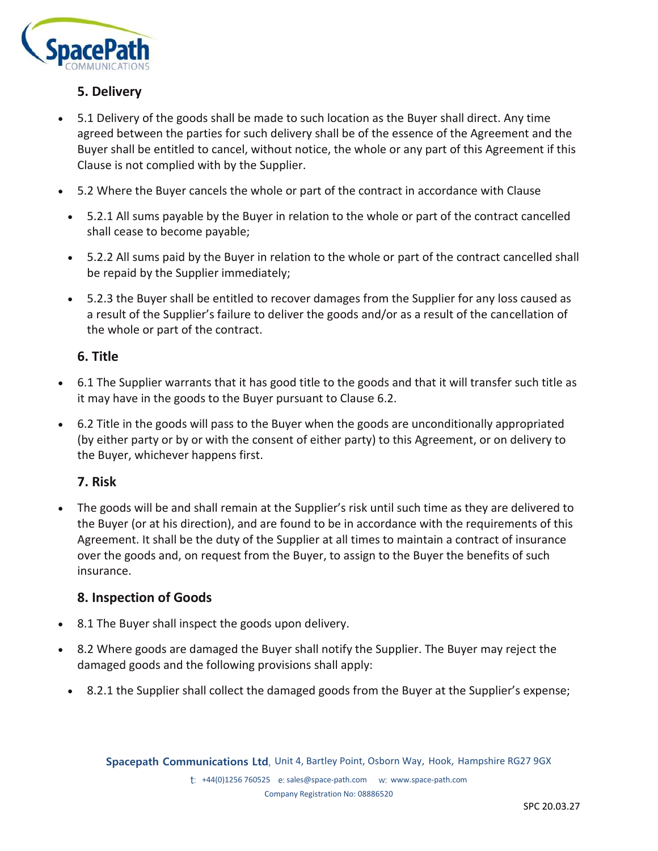

## **5. Delivery**

- 5.1 Delivery of the goods shall be made to such location as the Buyer shall direct. Any time agreed between the parties for such delivery shall be of the essence of the Agreement and the Buyer shall be entitled to cancel, without notice, the whole or any part of this Agreement if this Clause is not complied with by the Supplier.
- 5.2 Where the Buyer cancels the whole or part of the contract in accordance with Clause
	- 5.2.1 All sums payable by the Buyer in relation to the whole or part of the contract cancelled shall cease to become payable;
	- 5.2.2 All sums paid by the Buyer in relation to the whole or part of the contract cancelled shall be repaid by the Supplier immediately;
	- 5.2.3 the Buyer shall be entitled to recover damages from the Supplier for any loss caused as a result of the Supplier's failure to deliver the goods and/or as a result of the cancellation of the whole or part of the contract.

### **6. Title**

- 6.1 The Supplier warrants that it has good title to the goods and that it will transfer such title as it may have in the goods to the Buyer pursuant to Clause 6.2.
- 6.2 Title in the goods will pass to the Buyer when the goods are unconditionally appropriated (by either party or by or with the consent of either party) to this Agreement, or on delivery to the Buyer, whichever happens first.

## **7. Risk**

• The goods will be and shall remain at the Supplier's risk until such time as they are delivered to the Buyer (or at his direction), and are found to be in accordance with the requirements of this Agreement. It shall be the duty of the Supplier at all times to maintain a contract of insurance over the goods and, on request from the Buyer, to assign to the Buyer the benefits of such insurance.

### **8. Inspection of Goods**

- 8.1 The Buyer shall inspect the goods upon delivery.
- 8.2 Where goods are damaged the Buyer shall notify the Supplier. The Buyer may reject the damaged goods and the following provisions shall apply:
	- 8.2.1 the Supplier shall collect the damaged goods from the Buyer at the Supplier's expense;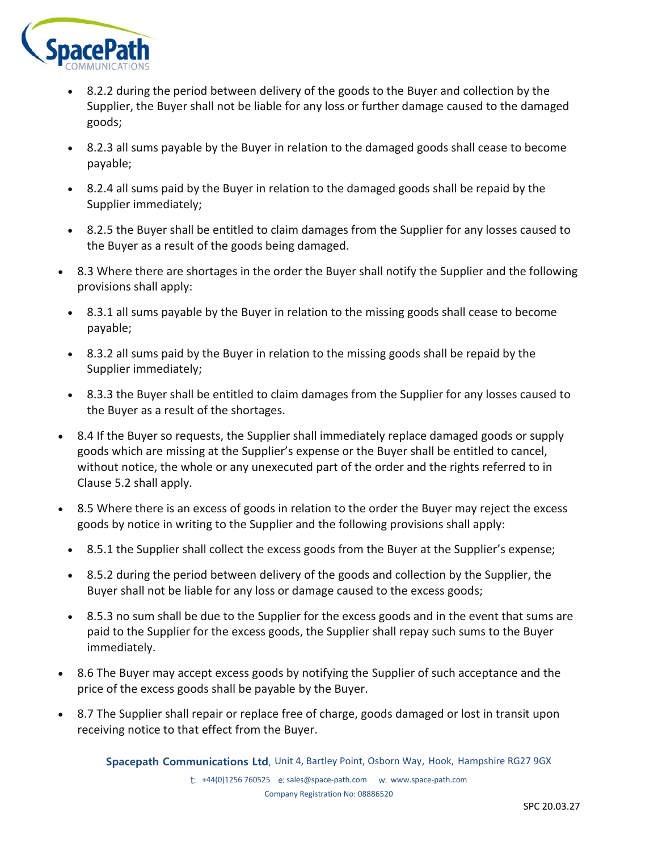

- 8.2.2 during the period between delivery of the goods to the Buyer and collection by the Supplier, the Buyer shall not be liable for any loss or further damage caused to the damaged goods;
- 8.2.3 all sums payable by the Buyer in relation to the damaged goods shall cease to become payable;
- 8.2.4 all sums paid by the Buyer in relation to the damaged goods shall be repaid by the Supplier immediately;
- 8.2.5 the Buyer shall be entitled to claim damages from the Supplier for any losses caused to the Buyer as a result of the goods being damaged.
- 8.3 Where there are shortages in the order the Buyer shall notify the Supplier and the following provisions shall apply:
	- 8.3.1 all sums payable by the Buyer in relation to the missing goods shall cease to become payable;
	- 8.3.2 all sums paid by the Buyer in relation to the missing goods shall be repaid by the Supplier immediately;
	- 8.3.3 the Buyer shall be entitled to claim damages from the Supplier for any losses caused to the Buyer as a result of the shortages.
- 8.4 If the Buyer so requests, the Supplier shall immediately replace damaged goods or supply goods which are missing at the Supplier's expense or the Buyer shall be entitled to cancel, without notice, the whole or any unexecuted part of the order and the rights referred to in Clause 5.2 shall apply.
- 8.5 Where there is an excess of goods in relation to the order the Buyer may reject the excess goods by notice in writing to the Supplier and the following provisions shall apply:
	- 8.5.1 the Supplier shall collect the excess goods from the Buyer at the Supplier's expense;
	- 8.5.2 during the period between delivery of the goods and collection by the Supplier, the Buyer shall not be liable for any loss or damage caused to the excess goods;
	- 8.5.3 no sum shall be due to the Supplier for the excess goods and in the event that sums are paid to the Supplier for the excess goods, the Supplier shall repay such sums to the Buyer immediately.
- 8.6 The Buyer may accept excess goods by notifying the Supplier of such acceptance and the price of the excess goods shall be payable by the Buyer.
- 8.7 The Supplier shall repair or replace free of charge, goods damaged or lost in transit upon receiving notice to that effect from the Buyer.

**Spacepath Communications Ltd**, Unit 4, Bartley Point, Osborn Way, Hook, Hampshire RG27 9GX t: +44(0)1256 760525 e: sales@space-path.com w: www.space-path.com Company Registration No: 08886520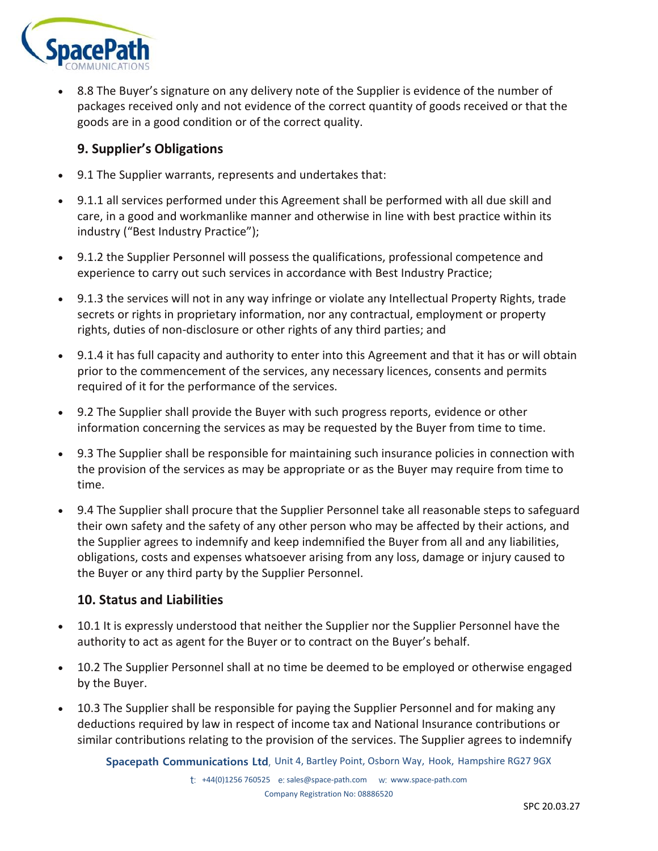

• 8.8 The Buyer's signature on any delivery note of the Supplier is evidence of the number of packages received only and not evidence of the correct quantity of goods received or that the goods are in a good condition or of the correct quality.

## **9. Supplier's Obligations**

- 9.1 The Supplier warrants, represents and undertakes that:
- 9.1.1 all services performed under this Agreement shall be performed with all due skill and care, in a good and workmanlike manner and otherwise in line with best practice within its industry ("Best Industry Practice");
- 9.1.2 the Supplier Personnel will possess the qualifications, professional competence and experience to carry out such services in accordance with Best Industry Practice;
- 9.1.3 the services will not in any way infringe or violate any Intellectual Property Rights, trade secrets or rights in proprietary information, nor any contractual, employment or property rights, duties of non-disclosure or other rights of any third parties; and
- 9.1.4 it has full capacity and authority to enter into this Agreement and that it has or will obtain prior to the commencement of the services, any necessary licences, consents and permits required of it for the performance of the services.
- 9.2 The Supplier shall provide the Buyer with such progress reports, evidence or other information concerning the services as may be requested by the Buyer from time to time.
- 9.3 The Supplier shall be responsible for maintaining such insurance policies in connection with the provision of the services as may be appropriate or as the Buyer may require from time to time.
- 9.4 The Supplier shall procure that the Supplier Personnel take all reasonable steps to safeguard their own safety and the safety of any other person who may be affected by their actions, and the Supplier agrees to indemnify and keep indemnified the Buyer from all and any liabilities, obligations, costs and expenses whatsoever arising from any loss, damage or injury caused to the Buyer or any third party by the Supplier Personnel.

## **10. Status and Liabilities**

- 10.1 It is expressly understood that neither the Supplier nor the Supplier Personnel have the authority to act as agent for the Buyer or to contract on the Buyer's behalf.
- 10.2 The Supplier Personnel shall at no time be deemed to be employed or otherwise engaged by the Buyer.
- 10.3 The Supplier shall be responsible for paying the Supplier Personnel and for making any deductions required by law in respect of income tax and National Insurance contributions or similar contributions relating to the provision of the services. The Supplier agrees to indemnify

**Spacepath Communications Ltd**, Unit 4, Bartley Point, Osborn Way, Hook, Hampshire RG27 9GX t: +44(0)1256 760525 e: sales@space-path.com w: www.space-path.com Company Registration No: 08886520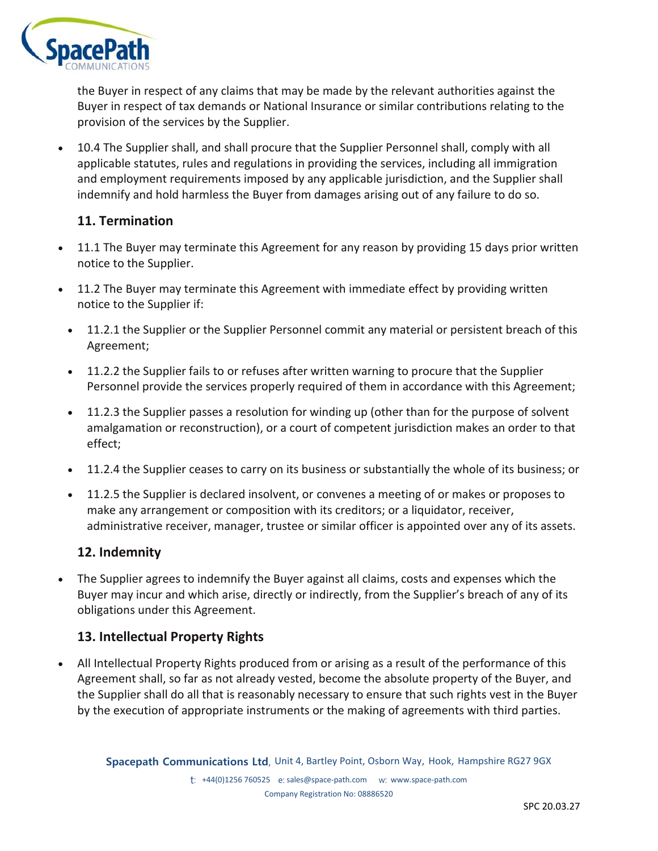

the Buyer in respect of any claims that may be made by the relevant authorities against the Buyer in respect of tax demands or National Insurance or similar contributions relating to the provision of the services by the Supplier.

• 10.4 The Supplier shall, and shall procure that the Supplier Personnel shall, comply with all applicable statutes, rules and regulations in providing the services, including all immigration and employment requirements imposed by any applicable jurisdiction, and the Supplier shall indemnify and hold harmless the Buyer from damages arising out of any failure to do so.

## **11. Termination**

- 11.1 The Buyer may terminate this Agreement for any reason by providing 15 days prior written notice to the Supplier.
- 11.2 The Buyer may terminate this Agreement with immediate effect by providing written notice to the Supplier if:
	- 11.2.1 the Supplier or the Supplier Personnel commit any material or persistent breach of this Agreement;
	- 11.2.2 the Supplier fails to or refuses after written warning to procure that the Supplier Personnel provide the services properly required of them in accordance with this Agreement;
	- 11.2.3 the Supplier passes a resolution for winding up (other than for the purpose of solvent amalgamation or reconstruction), or a court of competent jurisdiction makes an order to that effect;
	- 11.2.4 the Supplier ceases to carry on its business or substantially the whole of its business; or
	- 11.2.5 the Supplier is declared insolvent, or convenes a meeting of or makes or proposes to make any arrangement or composition with its creditors; or a liquidator, receiver, administrative receiver, manager, trustee or similar officer is appointed over any of its assets.

## **12. Indemnity**

• The Supplier agrees to indemnify the Buyer against all claims, costs and expenses which the Buyer may incur and which arise, directly or indirectly, from the Supplier's breach of any of its obligations under this Agreement.

### **13. Intellectual Property Rights**

• All Intellectual Property Rights produced from or arising as a result of the performance of this Agreement shall, so far as not already vested, become the absolute property of the Buyer, and the Supplier shall do all that is reasonably necessary to ensure that such rights vest in the Buyer by the execution of appropriate instruments or the making of agreements with third parties.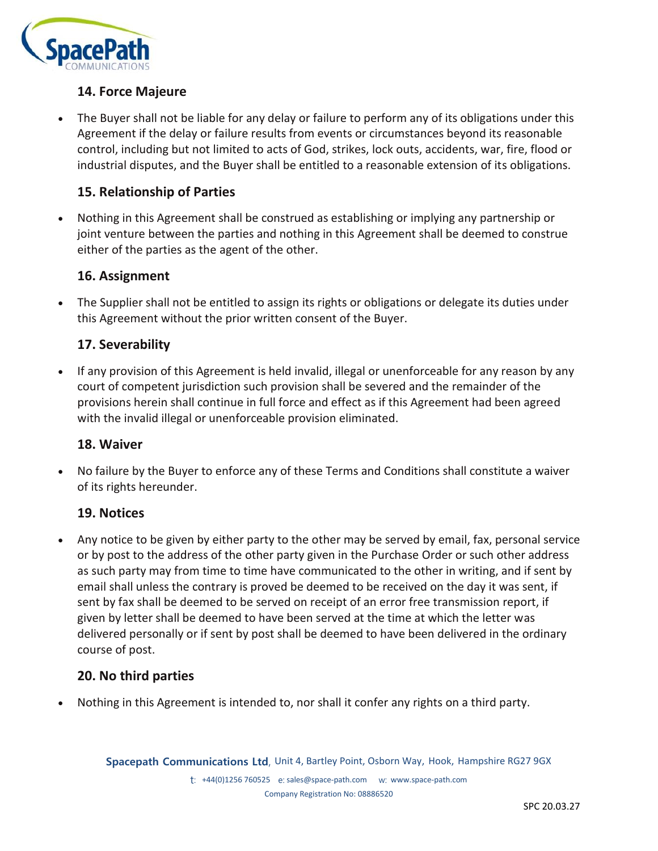

## **14. Force Majeure**

• The Buyer shall not be liable for any delay or failure to perform any of its obligations under this Agreement if the delay or failure results from events or circumstances beyond its reasonable control, including but not limited to acts of God, strikes, lock outs, accidents, war, fire, flood or industrial disputes, and the Buyer shall be entitled to a reasonable extension of its obligations.

## **15. Relationship of Parties**

• Nothing in this Agreement shall be construed as establishing or implying any partnership or joint venture between the parties and nothing in this Agreement shall be deemed to construe either of the parties as the agent of the other.

### **16. Assignment**

• The Supplier shall not be entitled to assign its rights or obligations or delegate its duties under this Agreement without the prior written consent of the Buyer.

### **17. Severability**

• If any provision of this Agreement is held invalid, illegal or unenforceable for any reason by any court of competent jurisdiction such provision shall be severed and the remainder of the provisions herein shall continue in full force and effect as if this Agreement had been agreed with the invalid illegal or unenforceable provision eliminated.

#### **18. Waiver**

• No failure by the Buyer to enforce any of these Terms and Conditions shall constitute a waiver of its rights hereunder.

### **19. Notices**

• Any notice to be given by either party to the other may be served by email, fax, personal service or by post to the address of the other party given in the Purchase Order or such other address as such party may from time to time have communicated to the other in writing, and if sent by email shall unless the contrary is proved be deemed to be received on the day it was sent, if sent by fax shall be deemed to be served on receipt of an error free transmission report, if given by letter shall be deemed to have been served at the time at which the letter was delivered personally or if sent by post shall be deemed to have been delivered in the ordinary course of post.

### **20. No third parties**

• Nothing in this Agreement is intended to, nor shall it confer any rights on a third party.